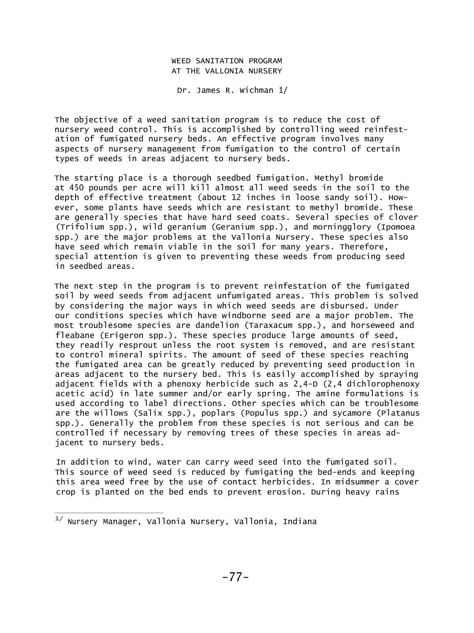## WEED SANITATION PROGRAM AT THE VALLONIA NURSERY

Dr. James R. Wichman 1/

The objective of a weed sanitation program is to reduce the cost of nursery weed control. This is accomplished by controlling weed reinfestation of fumigated nursery beds. An effective program involves many aspects of nursery management from fumigation to the control of certain types of weeds in areas adjacent to nursery beds.

The starting place is a thorough seedbed fumigation. Methyl bromide at 450 pounds per acre will kill almost all weed seeds in the soil to the depth of effective treatment (about 12 inches in loose sandy soil). However, some plants have seeds which are resistant to methyl bromide. These are generally species that have hard seed coats. Several species of clover (Trifolium spp.), wild geranium (Geranium spp.), and morningglory (Ipomoea spp.) are the major problems at the Vallonia Nursery. These species also have seed which remain viable in the soil for many years. Therefore, special attention is given to preventing these weeds from producing seed in seedbed areas.

The next step in the program is to prevent reinfestation of the fumigated soil by weed seeds from adjacent unfumigated areas. This problem is solved by considering the major ways in which weed seeds are disbursed. Under our conditions species which have windborne seed are a major problem. The most troublesome species are dandelion (Taraxacum spp.), and horseweed and fleabane (Erigeron spp.). These species produce large amounts of seed, they readily resprout unless the root system is removed, and are resistant to control mineral spirits. The amount of seed of these species reaching the fumigated area can be greatly reduced by preventing seed production in areas adjacent to the nursery bed. This is easily accomplished by spraying adjacent fields with a phenoxy herbicide such as 2,4-D (2,4 dichlorophenoxy acetic acid) in late summer and/or early spring. The amine formulations is used according to label directions. Other species which can be troublesome are the willows (Salix spp.), poplars (Populus spp.) and sycamore (Platanus spp.). Generally the problem from these species is not serious and can be controlled if necessary by removing trees of these species in areas adjacent to nursery beds.

In addition to wind, water can carry weed seed into the fumigated soil. This source of weed seed is reduced by fumigating the bed-ends and keeping this area weed free by the use of contact herbicides. In midsummer a cover crop is planted on the bed ends to prevent erosion. During heavy rains

 $1/$  Nursery Manager, Vallonia Nursery, Vallonia, Indiana